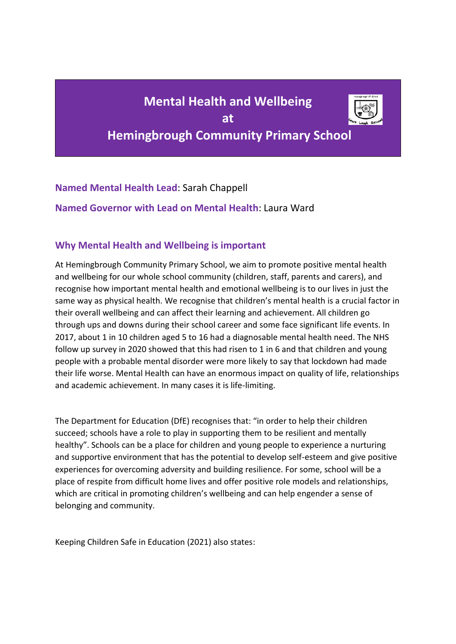# **Mental Health and Wellbeing at Hemingbrough Community Primary School**



**Named Mental Health Lead**: Sarah Chappell

**Named Governor with Lead on Mental Health**: Laura Ward

## **Why Mental Health and Wellbeing is important**

At Hemingbrough Community Primary School, we aim to promote positive mental health and wellbeing for our whole school community (children, staff, parents and carers), and recognise how important mental health and emotional wellbeing is to our lives in just the same way as physical health. We recognise that children's mental health is a crucial factor in their overall wellbeing and can affect their learning and achievement. All children go through ups and downs during their school career and some face significant life events. In 2017, about 1 in 10 children aged 5 to 16 had a diagnosable mental health need. The NHS follow up survey in 2020 showed that this had risen to 1 in 6 and that children and young people with a probable mental disorder were more likely to say that lockdown had made their life worse. Mental Health can have an enormous impact on quality of life, relationships and academic achievement. In many cases it is life-limiting.

The Department for Education (DfE) recognises that: "in order to help their children succeed; schools have a role to play in supporting them to be resilient and mentally healthy". Schools can be a place for children and young people to experience a nurturing and supportive environment that has the potential to develop self-esteem and give positive experiences for overcoming adversity and building resilience. For some, school will be a place of respite from difficult home lives and offer positive role models and relationships, which are critical in promoting children's wellbeing and can help engender a sense of belonging and community.

Keeping Children Safe in Education (2021) also states: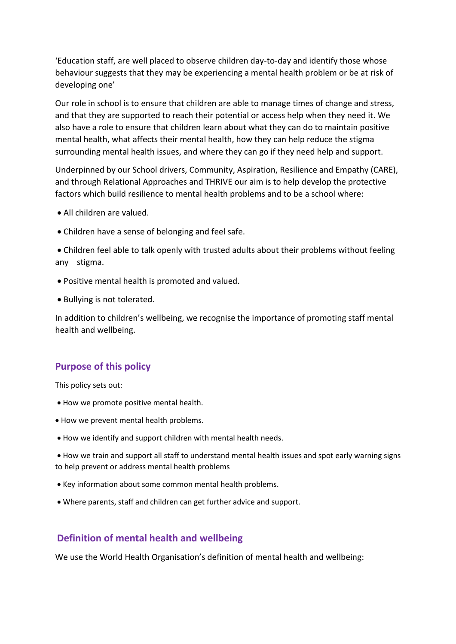'Education staff, are well placed to observe children day-to-day and identify those whose behaviour suggests that they may be experiencing a mental health problem or be at risk of developing one'

Our role in school is to ensure that children are able to manage times of change and stress, and that they are supported to reach their potential or access help when they need it. We also have a role to ensure that children learn about what they can do to maintain positive mental health, what affects their mental health, how they can help reduce the stigma surrounding mental health issues, and where they can go if they need help and support.

Underpinned by our School drivers, Community, Aspiration, Resilience and Empathy (CARE), and through Relational Approaches and THRIVE our aim is to help develop the protective factors which build resilience to mental health problems and to be a school where:

- All children are valued.
- Children have a sense of belonging and feel safe.

• Children feel able to talk openly with trusted adults about their problems without feeling any stigma.

- Positive mental health is promoted and valued.
- Bullying is not tolerated.

In addition to children's wellbeing, we recognise the importance of promoting staff mental health and wellbeing.

## **Purpose of this policy**

This policy sets out:

- How we promote positive mental health.
- How we prevent mental health problems.
- How we identify and support children with mental health needs.

• How we train and support all staff to understand mental health issues and spot early warning signs to help prevent or address mental health problems

- Key information about some common mental health problems.
- Where parents, staff and children can get further advice and support.

#### **Definition of mental health and wellbeing**

We use the World Health Organisation's definition of mental health and wellbeing: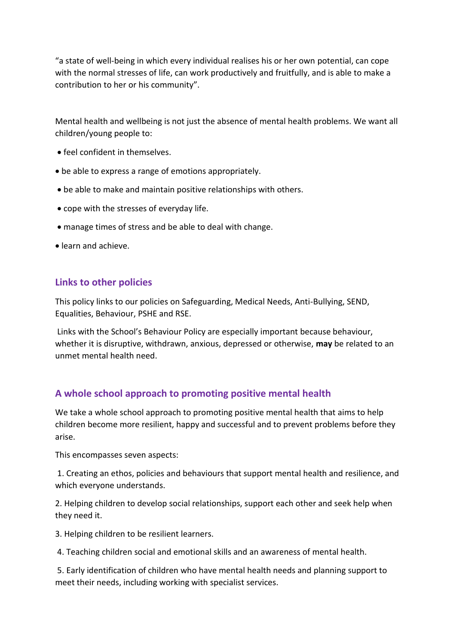"a state of well-being in which every individual realises his or her own potential, can cope with the normal stresses of life, can work productively and fruitfully, and is able to make a contribution to her or his community".

Mental health and wellbeing is not just the absence of mental health problems. We want all children/young people to:

- feel confident in themselves.
- be able to express a range of emotions appropriately.
- be able to make and maintain positive relationships with others.
- cope with the stresses of everyday life.
- manage times of stress and be able to deal with change.
- learn and achieve.

#### **Links to other policies**

This policy links to our policies on Safeguarding, Medical Needs, Anti-Bullying, SEND, Equalities, Behaviour, PSHE and RSE.

Links with the School's Behaviour Policy are especially important because behaviour, whether it is disruptive, withdrawn, anxious, depressed or otherwise, **may** be related to an unmet mental health need.

#### **A whole school approach to promoting positive mental health**

We take a whole school approach to promoting positive mental health that aims to help children become more resilient, happy and successful and to prevent problems before they arise.

This encompasses seven aspects:

1. Creating an ethos, policies and behaviours that support mental health and resilience, and which everyone understands.

2. Helping children to develop social relationships, support each other and seek help when they need it.

3. Helping children to be resilient learners.

4. Teaching children social and emotional skills and an awareness of mental health.

5. Early identification of children who have mental health needs and planning support to meet their needs, including working with specialist services.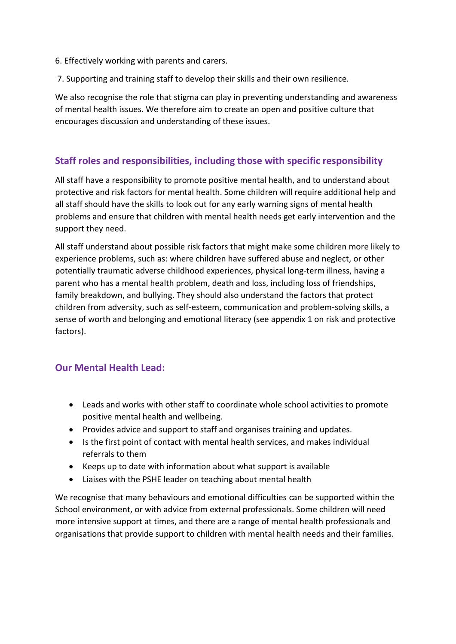- 6. Effectively working with parents and carers.
- 7. Supporting and training staff to develop their skills and their own resilience.

We also recognise the role that stigma can play in preventing understanding and awareness of mental health issues. We therefore aim to create an open and positive culture that encourages discussion and understanding of these issues.

#### **Staff roles and responsibilities, including those with specific responsibility**

All staff have a responsibility to promote positive mental health, and to understand about protective and risk factors for mental health. Some children will require additional help and all staff should have the skills to look out for any early warning signs of mental health problems and ensure that children with mental health needs get early intervention and the support they need.

All staff understand about possible risk factors that might make some children more likely to experience problems, such as: where children have suffered abuse and neglect, or other potentially traumatic adverse childhood experiences, physical long-term illness, having a parent who has a mental health problem, death and loss, including loss of friendships, family breakdown, and bullying. They should also understand the factors that protect children from adversity, such as self-esteem, communication and problem-solving skills, a sense of worth and belonging and emotional literacy (see appendix 1 on risk and protective factors).

## **Our Mental Health Lead:**

- Leads and works with other staff to coordinate whole school activities to promote positive mental health and wellbeing.
- Provides advice and support to staff and organises training and updates.
- Is the first point of contact with mental health services, and makes individual referrals to them
- Keeps up to date with information about what support is available
- Liaises with the PSHE leader on teaching about mental health

We recognise that many behaviours and emotional difficulties can be supported within the School environment, or with advice from external professionals. Some children will need more intensive support at times, and there are a range of mental health professionals and organisations that provide support to children with mental health needs and their families.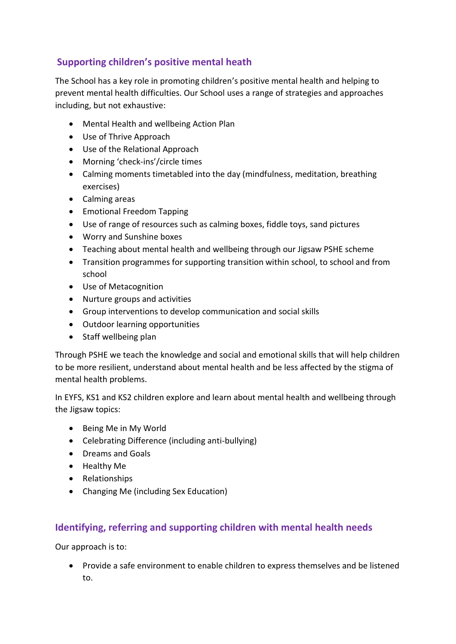# **Supporting children's positive mental heath**

The School has a key role in promoting children's positive mental health and helping to prevent mental health difficulties. Our School uses a range of strategies and approaches including, but not exhaustive:

- Mental Health and wellbeing Action Plan
- Use of Thrive Approach
- Use of the Relational Approach
- Morning 'check-ins'/circle times
- Calming moments timetabled into the day (mindfulness, meditation, breathing exercises)
- Calming areas
- Emotional Freedom Tapping
- Use of range of resources such as calming boxes, fiddle toys, sand pictures
- Worry and Sunshine boxes
- Teaching about mental health and wellbeing through our Jigsaw PSHE scheme
- Transition programmes for supporting transition within school, to school and from school
- Use of Metacognition
- Nurture groups and activities
- Group interventions to develop communication and social skills
- Outdoor learning opportunities
- Staff wellbeing plan

Through PSHE we teach the knowledge and social and emotional skills that will help children to be more resilient, understand about mental health and be less affected by the stigma of mental health problems.

In EYFS, KS1 and KS2 children explore and learn about mental health and wellbeing through the Jigsaw topics:

- Being Me in My World
- Celebrating Difference (including anti-bullying)
- Dreams and Goals
- Healthy Me
- Relationships
- Changing Me (including Sex Education)

## **Identifying, referring and supporting children with mental health needs**

Our approach is to:

• Provide a safe environment to enable children to express themselves and be listened to.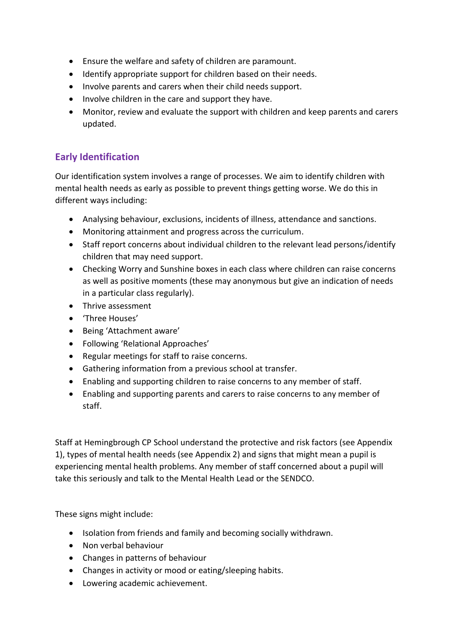- Ensure the welfare and safety of children are paramount.
- Identify appropriate support for children based on their needs.
- Involve parents and carers when their child needs support.
- Involve children in the care and support they have.
- Monitor, review and evaluate the support with children and keep parents and carers updated.

# **Early Identification**

Our identification system involves a range of processes. We aim to identify children with mental health needs as early as possible to prevent things getting worse. We do this in different ways including:

- Analysing behaviour, exclusions, incidents of illness, attendance and sanctions.
- Monitoring attainment and progress across the curriculum.
- Staff report concerns about individual children to the relevant lead persons/identify children that may need support.
- Checking Worry and Sunshine boxes in each class where children can raise concerns as well as positive moments (these may anonymous but give an indication of needs in a particular class regularly).
- Thrive assessment
- 'Three Houses'
- Being 'Attachment aware'
- Following 'Relational Approaches'
- Regular meetings for staff to raise concerns.
- Gathering information from a previous school at transfer.
- Enabling and supporting children to raise concerns to any member of staff.
- Enabling and supporting parents and carers to raise concerns to any member of staff.

Staff at Hemingbrough CP School understand the protective and risk factors (see Appendix 1), types of mental health needs (see Appendix 2) and signs that might mean a pupil is experiencing mental health problems. Any member of staff concerned about a pupil will take this seriously and talk to the Mental Health Lead or the SENDCO.

These signs might include:

- Isolation from friends and family and becoming socially withdrawn.
- Non verbal behaviour
- Changes in patterns of behaviour
- Changes in activity or mood or eating/sleeping habits.
- Lowering academic achievement.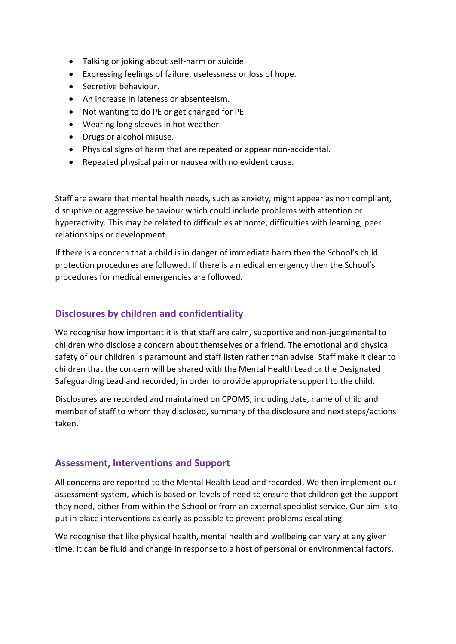- Talking or joking about self-harm or suicide.
- Expressing feelings of failure, uselessness or loss of hope.
- Secretive behaviour.
- An increase in lateness or absenteeism.
- Not wanting to do PE or get changed for PE.
- Wearing long sleeves in hot weather.
- Drugs or alcohol misuse.
- Physical signs of harm that are repeated or appear non-accidental.
- Repeated physical pain or nausea with no evident cause.

Staff are aware that mental health needs, such as anxiety, might appear as non compliant, disruptive or aggressive behaviour which could include problems with attention or hyperactivity. This may be related to difficulties at home, difficulties with learning, peer relationships or development.

If there is a concern that a child is in danger of immediate harm then the School's child protection procedures are followed. If there is a medical emergency then the School's procedures for medical emergencies are followed.

## **Disclosures by children and confidentiality**

We recognise how important it is that staff are calm, supportive and non-judgemental to children who disclose a concern about themselves or a friend. The emotional and physical safety of our children is paramount and staff listen rather than advise. Staff make it clear to children that the concern will be shared with the Mental Health Lead or the Designated Safeguarding Lead and recorded, in order to provide appropriate support to the child.

Disclosures are recorded and maintained on CPOMS, including date, name of child and member of staff to whom they disclosed, summary of the disclosure and next steps/actions taken.

#### **Assessment, Interventions and Support**

All concerns are reported to the Mental Health Lead and recorded. We then implement our assessment system, which is based on levels of need to ensure that children get the support they need, either from within the School or from an external specialist service. Our aim is to put in place interventions as early as possible to prevent problems escalating.

We recognise that like physical health, mental health and wellbeing can vary at any given time, it can be fluid and change in response to a host of personal or environmental factors.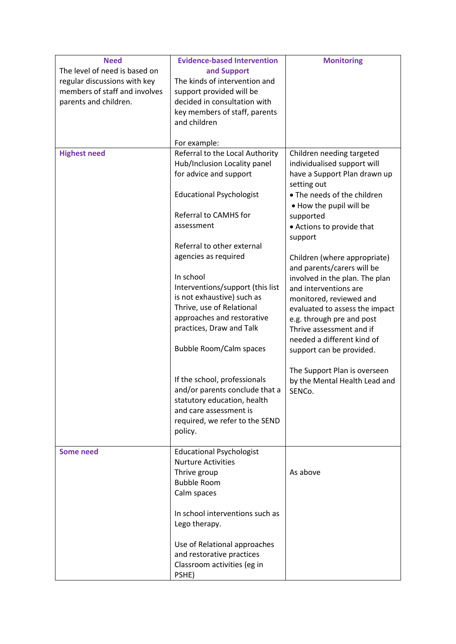| <b>Need</b><br>The level of need is based on<br>regular discussions with key<br>members of staff and involves<br>parents and children. | <b>Evidence-based Intervention</b><br>and Support<br>The kinds of intervention and<br>support provided will be<br>decided in consultation with                                          | <b>Monitoring</b>                                                                                                                                                                                     |
|----------------------------------------------------------------------------------------------------------------------------------------|-----------------------------------------------------------------------------------------------------------------------------------------------------------------------------------------|-------------------------------------------------------------------------------------------------------------------------------------------------------------------------------------------------------|
|                                                                                                                                        | key members of staff, parents<br>and children<br>For example:                                                                                                                           |                                                                                                                                                                                                       |
| <b>Highest need</b>                                                                                                                    | Referral to the Local Authority<br>Hub/Inclusion Locality panel<br>for advice and support                                                                                               | Children needing targeted<br>individualised support will<br>have a Support Plan drawn up<br>setting out                                                                                               |
|                                                                                                                                        | <b>Educational Psychologist</b>                                                                                                                                                         | • The needs of the children<br>. How the pupil will be                                                                                                                                                |
|                                                                                                                                        | Referral to CAMHS for<br>assessment                                                                                                                                                     | supported<br>• Actions to provide that<br>support                                                                                                                                                     |
|                                                                                                                                        | Referral to other external<br>agencies as required<br>In school                                                                                                                         | Children (where appropriate)<br>and parents/carers will be<br>involved in the plan. The plan                                                                                                          |
|                                                                                                                                        | Interventions/support (this list<br>is not exhaustive) such as<br>Thrive, use of Relational<br>approaches and restorative<br>practices, Draw and Talk<br><b>Bubble Room/Calm spaces</b> | and interventions are<br>monitored, reviewed and<br>evaluated to assess the impact<br>e.g. through pre and post<br>Thrive assessment and if<br>needed a different kind of<br>support can be provided. |
|                                                                                                                                        | If the school, professionals<br>and/or parents conclude that a<br>statutory education, health<br>and care assessment is<br>required, we refer to the SEND<br>policy.                    | The Support Plan is overseen<br>by the Mental Health Lead and<br>SENCo.                                                                                                                               |
| <b>Some need</b>                                                                                                                       | <b>Educational Psychologist</b><br><b>Nurture Activities</b><br>Thrive group<br><b>Bubble Room</b><br>Calm spaces                                                                       | As above                                                                                                                                                                                              |
|                                                                                                                                        | In school interventions such as<br>Lego therapy.                                                                                                                                        |                                                                                                                                                                                                       |
|                                                                                                                                        | Use of Relational approaches<br>and restorative practices<br>Classroom activities (eg in<br>PSHE)                                                                                       |                                                                                                                                                                                                       |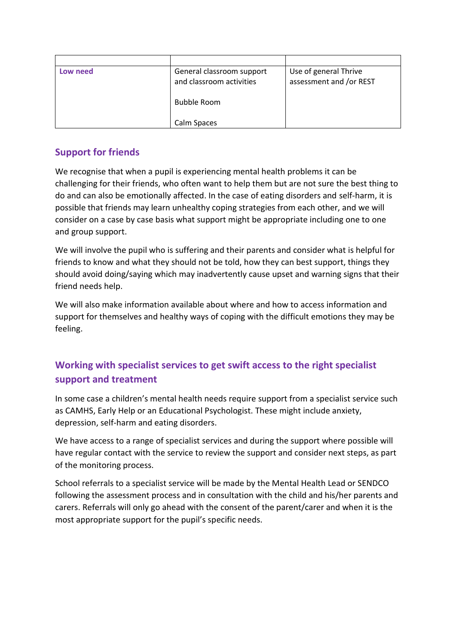| Low need | General classroom support<br>and classroom activities | Use of general Thrive<br>assessment and /or REST |
|----------|-------------------------------------------------------|--------------------------------------------------|
|          | <b>Bubble Room</b>                                    |                                                  |
|          | Calm Spaces                                           |                                                  |

## **Support for friends**

We recognise that when a pupil is experiencing mental health problems it can be challenging for their friends, who often want to help them but are not sure the best thing to do and can also be emotionally affected. In the case of eating disorders and self-harm, it is possible that friends may learn unhealthy coping strategies from each other, and we will consider on a case by case basis what support might be appropriate including one to one and group support.

We will involve the pupil who is suffering and their parents and consider what is helpful for friends to know and what they should not be told, how they can best support, things they should avoid doing/saying which may inadvertently cause upset and warning signs that their friend needs help.

We will also make information available about where and how to access information and support for themselves and healthy ways of coping with the difficult emotions they may be feeling.

# **Working with specialist services to get swift access to the right specialist support and treatment**

In some case a children's mental health needs require support from a specialist service such as CAMHS, Early Help or an Educational Psychologist. These might include anxiety, depression, self-harm and eating disorders.

We have access to a range of specialist services and during the support where possible will have regular contact with the service to review the support and consider next steps, as part of the monitoring process.

School referrals to a specialist service will be made by the Mental Health Lead or SENDCO following the assessment process and in consultation with the child and his/her parents and carers. Referrals will only go ahead with the consent of the parent/carer and when it is the most appropriate support for the pupil's specific needs.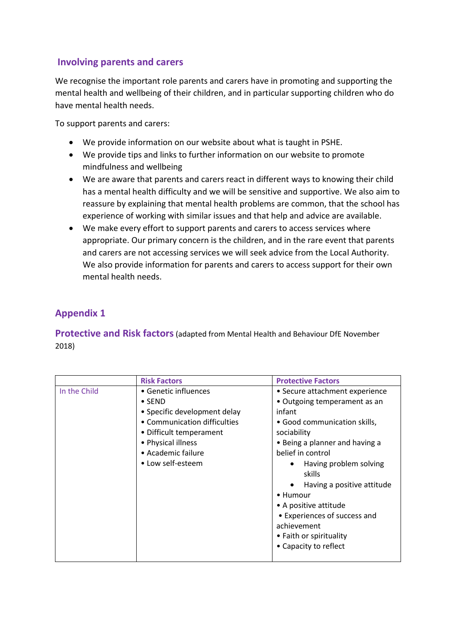## **Involving parents and carers**

We recognise the important role parents and carers have in promoting and supporting the mental health and wellbeing of their children, and in particular supporting children who do have mental health needs.

To support parents and carers:

- We provide information on our website about what is taught in PSHE.
- We provide tips and links to further information on our website to promote mindfulness and wellbeing
- We are aware that parents and carers react in different ways to knowing their child has a mental health difficulty and we will be sensitive and supportive. We also aim to reassure by explaining that mental health problems are common, that the school has experience of working with similar issues and that help and advice are available.
- We make every effort to support parents and carers to access services where appropriate. Our primary concern is the children, and in the rare event that parents and carers are not accessing services we will seek advice from the Local Authority. We also provide information for parents and carers to access support for their own mental health needs.

# **Appendix 1**

**Protective and Risk factors**(adapted from Mental Health and Behaviour DfE November 2018)

|              | <b>Risk Factors</b>          | <b>Protective Factors</b>               |
|--------------|------------------------------|-----------------------------------------|
| In the Child | • Genetic influences         | • Secure attachment experience          |
|              | $\bullet$ SEND               | • Outgoing temperament as an            |
|              | • Specific development delay | infant                                  |
|              | • Communication difficulties | • Good communication skills,            |
|              | • Difficult temperament      | sociability                             |
|              | • Physical illness           | • Being a planner and having a          |
|              | • Academic failure           | belief in control                       |
|              | • Low self-esteem            | Having problem solving<br>skills        |
|              |                              | Having a positive attitude<br>$\bullet$ |
|              |                              | • Humour                                |
|              |                              | • A positive attitude                   |
|              |                              | • Experiences of success and            |
|              |                              | achievement                             |
|              |                              | • Faith or spirituality                 |
|              |                              | • Capacity to reflect                   |
|              |                              |                                         |